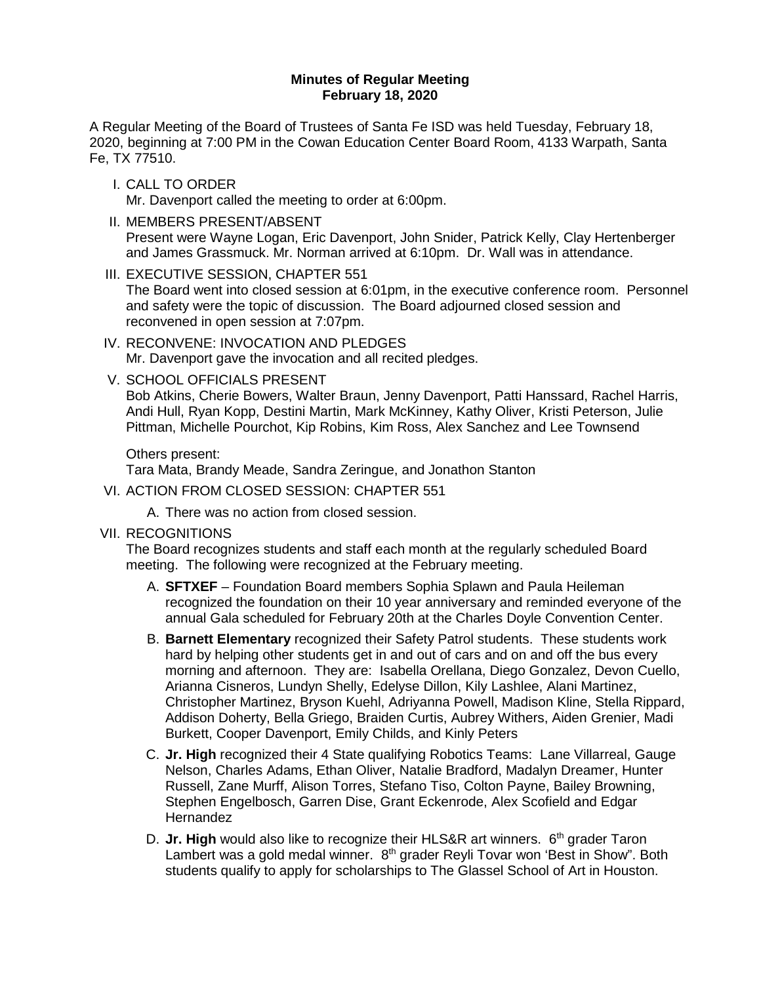#### **Minutes of Regular Meeting February 18, 2020**

A Regular Meeting of the Board of Trustees of Santa Fe ISD was held Tuesday, February 18, 2020, beginning at 7:00 PM in the Cowan Education Center Board Room, 4133 Warpath, Santa Fe, TX 77510.

- I. CALL TO ORDER Mr. Davenport called the meeting to order at 6:00pm.
- II. MEMBERS PRESENT/ABSENT Present were Wayne Logan, Eric Davenport, John Snider, Patrick Kelly, Clay Hertenberger and James Grassmuck. Mr. Norman arrived at 6:10pm. Dr. Wall was in attendance.
- III. EXECUTIVE SESSION, CHAPTER 551

The Board went into closed session at 6:01pm, in the executive conference room. Personnel and safety were the topic of discussion. The Board adjourned closed session and reconvened in open session at 7:07pm.

- IV. RECONVENE: INVOCATION AND PLEDGES Mr. Davenport gave the invocation and all recited pledges.
- V. SCHOOL OFFICIALS PRESENT

Bob Atkins, Cherie Bowers, Walter Braun, Jenny Davenport, Patti Hanssard, Rachel Harris, Andi Hull, Ryan Kopp, Destini Martin, Mark McKinney, Kathy Oliver, Kristi Peterson, Julie Pittman, Michelle Pourchot, Kip Robins, Kim Ross, Alex Sanchez and Lee Townsend

Others present:

Tara Mata, Brandy Meade, Sandra Zeringue, and Jonathon Stanton

- VI. ACTION FROM CLOSED SESSION: CHAPTER 551
	- A. There was no action from closed session.
- VII. RECOGNITIONS

The Board recognizes students and staff each month at the regularly scheduled Board meeting. The following were recognized at the February meeting.

- A. **SFTXEF**  Foundation Board members Sophia Splawn and Paula Heileman recognized the foundation on their 10 year anniversary and reminded everyone of the annual Gala scheduled for February 20th at the Charles Doyle Convention Center.
- B. **Barnett Elementary** recognized their Safety Patrol students. These students work hard by helping other students get in and out of cars and on and off the bus every morning and afternoon. They are: Isabella Orellana, Diego Gonzalez, Devon Cuello, Arianna Cisneros, Lundyn Shelly, Edelyse Dillon, Kily Lashlee, Alani Martinez, Christopher Martinez, Bryson Kuehl, Adriyanna Powell, Madison Kline, Stella Rippard, Addison Doherty, Bella Griego, Braiden Curtis, Aubrey Withers, Aiden Grenier, Madi Burkett, Cooper Davenport, Emily Childs, and Kinly Peters
- C. **Jr. High** recognized their 4 State qualifying Robotics Teams: Lane Villarreal, Gauge Nelson, Charles Adams, Ethan Oliver, Natalie Bradford, Madalyn Dreamer, Hunter Russell, Zane Murff, Alison Torres, Stefano Tiso, Colton Payne, Bailey Browning, Stephen Engelbosch, Garren Dise, Grant Eckenrode, Alex Scofield and Edgar Hernandez
- D. Jr. High would also like to recognize their HLS&R art winners. 6<sup>th</sup> grader Taron Lambert was a gold medal winner. 8<sup>th</sup> grader Reyli Tovar won 'Best in Show". Both students qualify to apply for scholarships to The Glassel School of Art in Houston.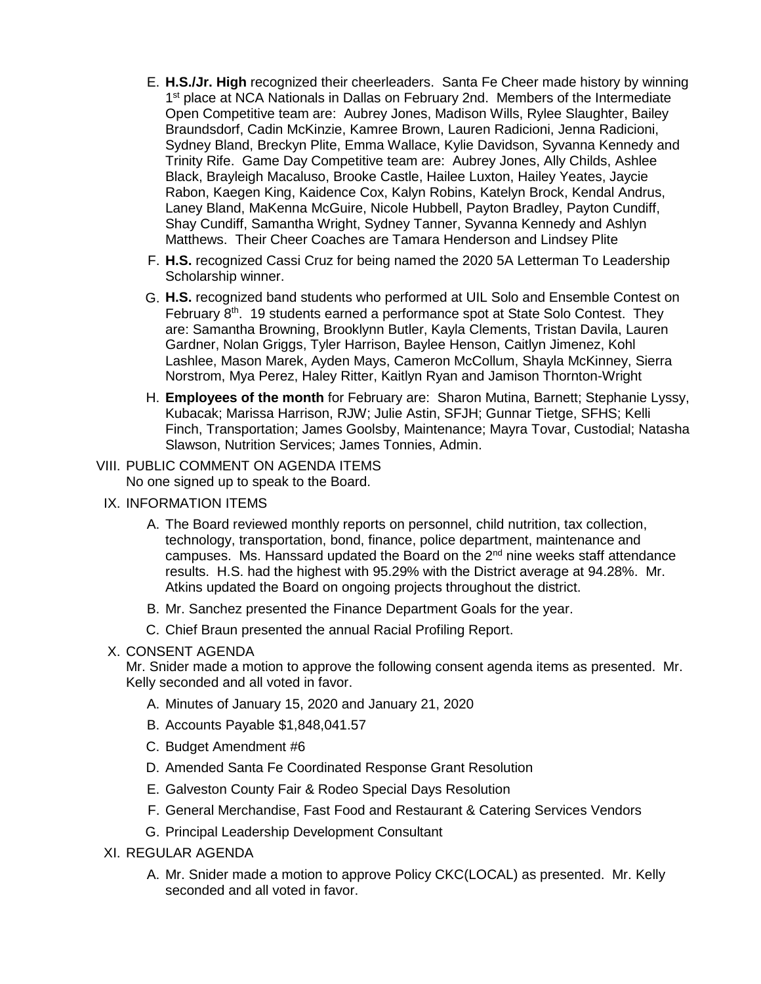- E. **H.S./Jr. High** recognized their cheerleaders. Santa Fe Cheer made history by winning 1st place at NCA Nationals in Dallas on February 2nd. Members of the Intermediate Open Competitive team are: Aubrey Jones, Madison Wills, Rylee Slaughter, Bailey Braundsdorf, Cadin McKinzie, Kamree Brown, Lauren Radicioni, Jenna Radicioni, Sydney Bland, Breckyn Plite, Emma Wallace, Kylie Davidson, Syvanna Kennedy and Trinity Rife. Game Day Competitive team are: Aubrey Jones, Ally Childs, Ashlee Black, Brayleigh Macaluso, Brooke Castle, Hailee Luxton, Hailey Yeates, Jaycie Rabon, Kaegen King, Kaidence Cox, Kalyn Robins, Katelyn Brock, Kendal Andrus, Laney Bland, MaKenna McGuire, Nicole Hubbell, Payton Bradley, Payton Cundiff, Shay Cundiff, Samantha Wright, Sydney Tanner, Syvanna Kennedy and Ashlyn Matthews. Their Cheer Coaches are Tamara Henderson and Lindsey Plite
- F. **H.S.** recognized Cassi Cruz for being named the 2020 5A Letterman To Leadership Scholarship winner.
- G. **H.S.** recognized band students who performed at UIL Solo and Ensemble Contest on February 8th. 19 students earned a performance spot at State Solo Contest. They are: Samantha Browning, Brooklynn Butler, Kayla Clements, Tristan Davila, Lauren Gardner, Nolan Griggs, Tyler Harrison, Baylee Henson, Caitlyn Jimenez, Kohl Lashlee, Mason Marek, Ayden Mays, Cameron McCollum, Shayla McKinney, Sierra Norstrom, Mya Perez, Haley Ritter, Kaitlyn Ryan and Jamison Thornton-Wright
- H. **Employees of the month** for February are: Sharon Mutina, Barnett; Stephanie Lyssy, Kubacak; Marissa Harrison, RJW; Julie Astin, SFJH; Gunnar Tietge, SFHS; Kelli Finch, Transportation; James Goolsby, Maintenance; Mayra Tovar, Custodial; Natasha Slawson, Nutrition Services; James Tonnies, Admin.

# VIII. PUBLIC COMMENT ON AGENDA ITEMS No one signed up to speak to the Board.

- IX. INFORMATION ITEMS
	- A. The Board reviewed monthly reports on personnel, child nutrition, tax collection, technology, transportation, bond, finance, police department, maintenance and campuses. Ms. Hanssard updated the Board on the 2<sup>nd</sup> nine weeks staff attendance results. H.S. had the highest with 95.29% with the District average at 94.28%. Mr. Atkins updated the Board on ongoing projects throughout the district.
	- B. Mr. Sanchez presented the Finance Department Goals for the year.
	- C. Chief Braun presented the annual Racial Profiling Report.

## X. CONSENT AGENDA

Mr. Snider made a motion to approve the following consent agenda items as presented. Mr. Kelly seconded and all voted in favor.

- A. Minutes of January 15, 2020 and January 21, 2020
- B. Accounts Payable \$1,848,041.57
- C. Budget Amendment #6
- D. Amended Santa Fe Coordinated Response Grant Resolution
- E. Galveston County Fair & Rodeo Special Days Resolution
- F. General Merchandise, Fast Food and Restaurant & Catering Services Vendors
- G. Principal Leadership Development Consultant
- XI. REGULAR AGENDA
	- A. Mr. Snider made a motion to approve Policy CKC(LOCAL) as presented. Mr. Kelly seconded and all voted in favor.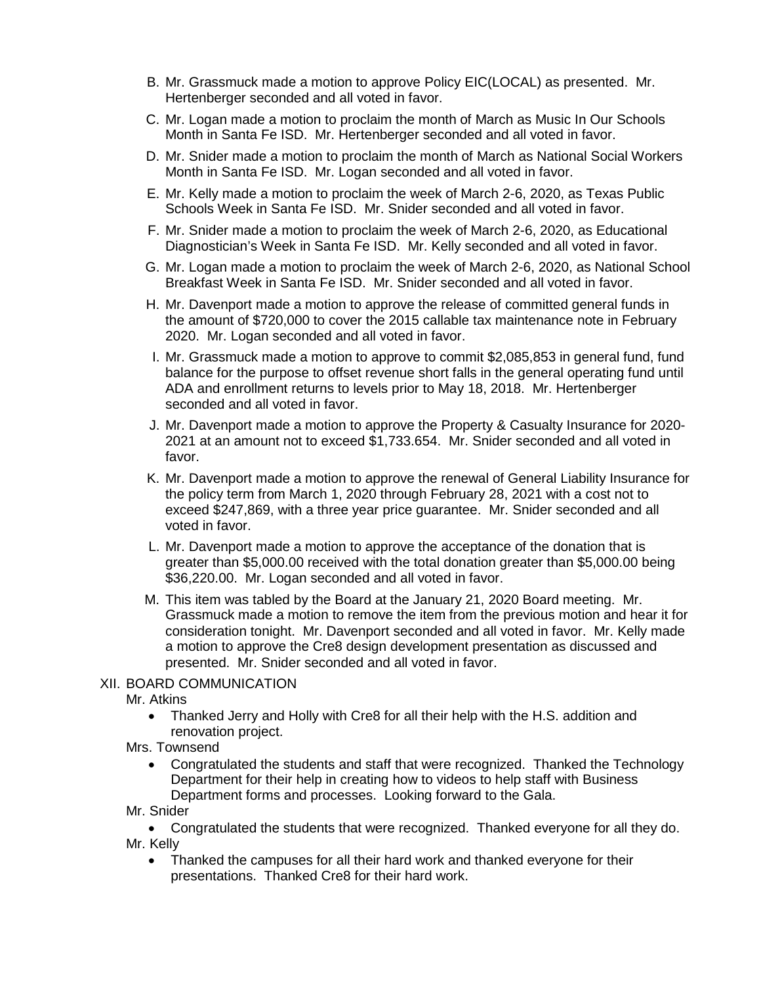- B. Mr. Grassmuck made a motion to approve Policy EIC(LOCAL) as presented. Mr. Hertenberger seconded and all voted in favor.
- C. Mr. Logan made a motion to proclaim the month of March as Music In Our Schools Month in Santa Fe ISD. Mr. Hertenberger seconded and all voted in favor.
- D. Mr. Snider made a motion to proclaim the month of March as National Social Workers Month in Santa Fe ISD. Mr. Logan seconded and all voted in favor.
- E. Mr. Kelly made a motion to proclaim the week of March 2-6, 2020, as Texas Public Schools Week in Santa Fe ISD. Mr. Snider seconded and all voted in favor.
- F. Mr. Snider made a motion to proclaim the week of March 2-6, 2020, as Educational Diagnostician's Week in Santa Fe ISD. Mr. Kelly seconded and all voted in favor.
- G. Mr. Logan made a motion to proclaim the week of March 2-6, 2020, as National School Breakfast Week in Santa Fe ISD. Mr. Snider seconded and all voted in favor.
- H. Mr. Davenport made a motion to approve the release of committed general funds in the amount of \$720,000 to cover the 2015 callable tax maintenance note in February 2020. Mr. Logan seconded and all voted in favor.
- I. Mr. Grassmuck made a motion to approve to commit \$2,085,853 in general fund, fund balance for the purpose to offset revenue short falls in the general operating fund until ADA and enrollment returns to levels prior to May 18, 2018. Mr. Hertenberger seconded and all voted in favor.
- J. Mr. Davenport made a motion to approve the Property & Casualty Insurance for 2020- 2021 at an amount not to exceed \$1,733.654. Mr. Snider seconded and all voted in favor.
- K. Mr. Davenport made a motion to approve the renewal of General Liability Insurance for the policy term from March 1, 2020 through February 28, 2021 with a cost not to exceed \$247,869, with a three year price guarantee. Mr. Snider seconded and all voted in favor.
- L. Mr. Davenport made a motion to approve the acceptance of the donation that is greater than \$5,000.00 received with the total donation greater than \$5,000.00 being \$36,220.00. Mr. Logan seconded and all voted in favor.
- M. This item was tabled by the Board at the January 21, 2020 Board meeting. Mr. Grassmuck made a motion to remove the item from the previous motion and hear it for consideration tonight. Mr. Davenport seconded and all voted in favor. Mr. Kelly made a motion to approve the Cre8 design development presentation as discussed and presented. Mr. Snider seconded and all voted in favor.

## XII. BOARD COMMUNICATION

Mr. Atkins

- Thanked Jerry and Holly with Cre8 for all their help with the H.S. addition and renovation project.
- Mrs. Townsend
	- Congratulated the students and staff that were recognized. Thanked the Technology Department for their help in creating how to videos to help staff with Business Department forms and processes. Looking forward to the Gala.
- Mr. Snider
- Congratulated the students that were recognized. Thanked everyone for all they do. Mr. Kelly
	- Thanked the campuses for all their hard work and thanked everyone for their presentations. Thanked Cre8 for their hard work.